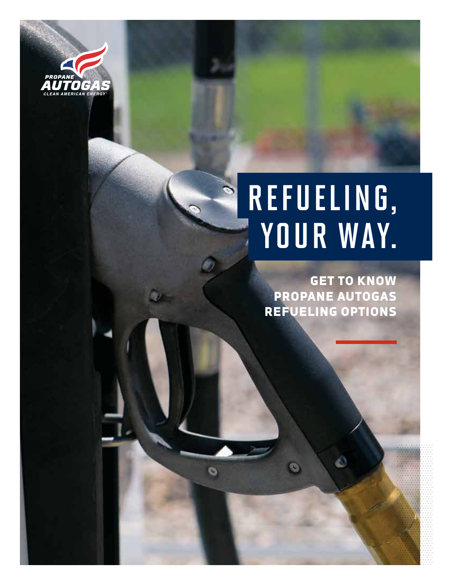

# REFUELING, YOUR WAY.

GET TO KNOW PROPANE AUTOGAS REFUELING OPTIONS

 $\bullet$ 

G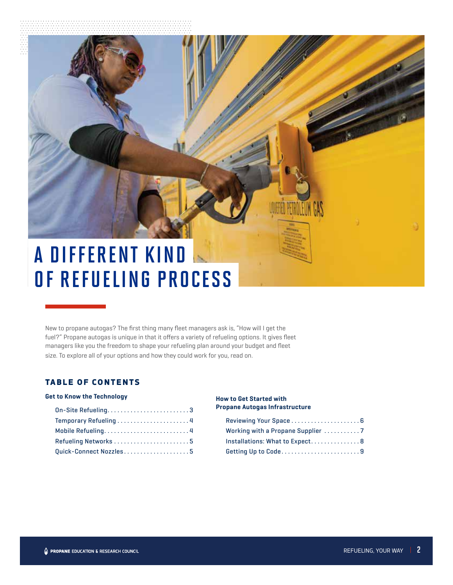## A DIFFERENT KIND OF REFUELING PROCESS

New to propane autogas? The first thing many fleet managers ask is, "How will I get the fuel?" Propane autogas is unique in that it offers a variety of refueling options. It gives fleet managers like you the freedom to shape your refueling plan around your budget and fleet size. To explore all of your options and how they could work for you, read on.

#### TABLE OF CONTENTS

#### **Get to Know the Technology**

| On-Site Refueling3     |
|------------------------|
| Temporary Refueling 4  |
| Mobile Refueling4      |
| Refueling Networks 5   |
| Quick-Connect Nozzles5 |

#### **How to Get Started with Propane Autogas Infrastructure**

| Installations: What to Expect 8 |
|---------------------------------|
| Getting Up to Code9             |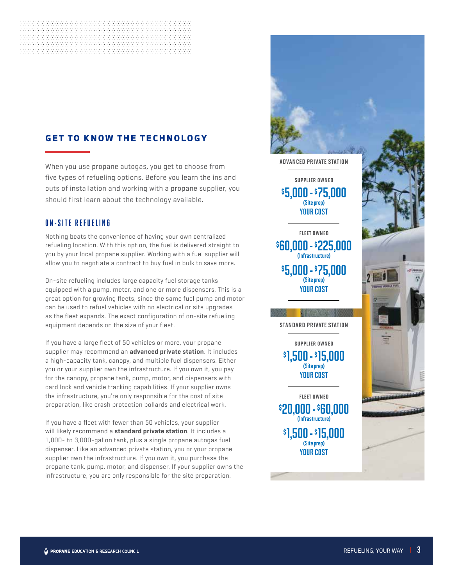### GET TO KNOW THE TECHNOLOGY

When you use propane autogas, you get to choose from five types of refueling options. Before you learn the ins and outs of installation and working with a propane supplier, you should first learn about the technology available.

#### **ON-SITE REFUELING**

Nothing beats the convenience of having your own centralized refueling location. With this option, the fuel is delivered straight to you by your local propane supplier. Working with a fuel supplier will allow you to negotiate a contract to buy fuel in bulk to save more.

On-site refueling includes large capacity fuel storage tanks equipped with a pump, meter, and one or more dispensers. This is a great option for growing fleets, since the same fuel pump and motor can be used to refuel vehicles with no electrical or site upgrades as the fleet expands. The exact configuration of on-site refueling equipment depends on the size of your fleet.

If you have a large fleet of 50 vehicles or more, your propane supplier may recommend an **advanced private station**. It includes a high-capacity tank, canopy, and multiple fuel dispensers. Either you or your supplier own the infrastructure. If you own it, you pay for the canopy, propane tank, pump, motor, and dispensers with card lock and vehicle tracking capabilities. If your supplier owns the infrastructure, you're only responsible for the cost of site preparation, like crash protection bollards and electrical work.

If you have a fleet with fewer than 50 vehicles, your supplier will likely recommend a **standard private station**. It includes a 1,000- to 3,000-gallon tank, plus a single propane autogas fuel dispenser. Like an advanced private station, you or your propane supplier own the infrastructure. If you own it, you purchase the propane tank, pump, motor, and dispenser. If your supplier owns the infrastructure, you are only responsible for the site preparation.



advanced private station

\$ 5,000 - \$ 75,000 (Site prep) YOUR COST supplier owned

\$ 5,000 - \$ 75,000 \$ 60,000 - \$ 225,000 (Site prep) (Infrastructure) YOUR COST fleet owned

**STEP AND A** standard private station

\$ 1,500 - \$ 15,000 (Site prep) YOUR COST supplier owned

\$ 1,500 - \$ 15,000 \$20,000 - \$60,000 (Site prep) (Infrastructure) YOUR COST fleet owned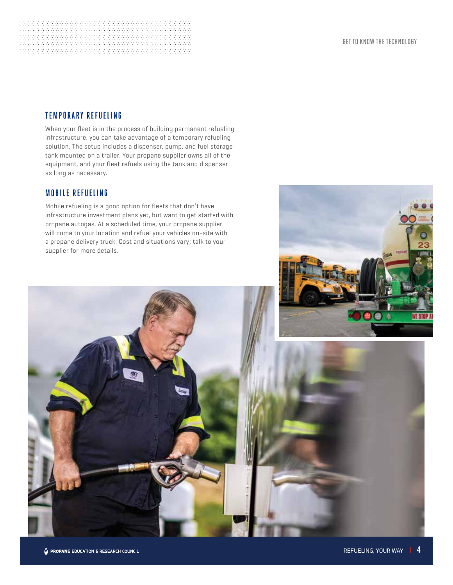#### **TEMPORARY REFUELING**

When your fleet is in the process of building permanent refueling infrastructure, you can take advantage of a temporary refueling solution. The setup includes a dispenser, pump, and fuel storage tank mounted on a trailer. Your propane supplier owns all of the equipment, and your fleet refuels using the tank and dispenser as long as necessary.

#### **MOBILE REFUELING**

Mobile refueling is a good option for fleets that don't have infrastructure investment plans yet, but want to get started with propane autogas. At a scheduled time, your propane supplier will come to your location and refuel your vehicles on-site with a propane delivery truck. Cost and situations vary; talk to your supplier for more details.

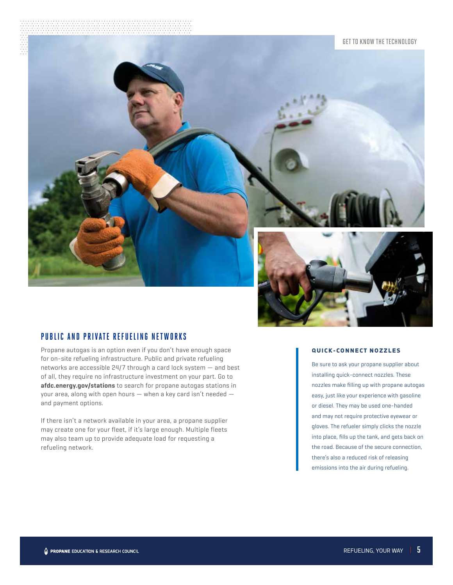#### GET TO KNOW THE TECHNOLOGY



#### **PUBLIC AND PRIVATE REFUELING NETWORKS**

Propane autogas is an option even if you don't have enough space for on-site refueling infrastructure. Public and private refueling networks are accessible 24/7 through a card lock system — and best of all, they require no infrastructure investment on your part. Go to **afdc.energy.gov/stations** to search for propane autogas stations in your area, along with open hours — when a key card isn't needed and payment options.

If there isn't a network available in your area, a propane supplier may create one for your fleet, if it's large enough. Multiple fleets may also team up to provide adequate load for requesting a refueling network.

#### QUICK-CONNECT NOZZLES

Be sure to ask your propane supplier about installing quick-connect nozzles. These nozzles make filling up with propane autogas easy, just like your experience with gasoline or diesel. They may be used one-handed and may not require protective eyewear or gloves. The refueler simply clicks the nozzle into place, fills up the tank, and gets back on the road. Because of the secure connection, there's also a reduced risk of releasing emissions into the air during refueling.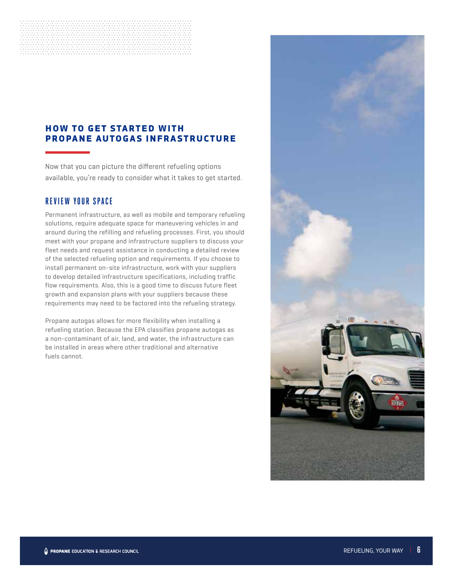#### HOW TO GET STARTED WITH PROPANE AUTOGAS INFRASTRUCTURE

Now that you can picture the different refueling options available, you're ready to consider what it takes to get started.

#### **REVIEW YOUR SPACE**

Permanent infrastructure, as well as mobile and temporary refueling solutions, require adequate space for maneuvering vehicles in and around during the refilling and refueling processes. First, you should meet with your propane and infrastructure suppliers to discuss your fleet needs and request assistance in conducting a detailed review of the selected refueling option and requirements. If you choose to install permanent on-site infrastructure, work with your suppliers to develop detailed infrastructure specifications, including traffic flow requirements. Also, this is a good time to discuss future fleet growth and expansion plans with your suppliers because these requirements may need to be factored into the refueling strategy.

Propane autogas allows for more flexibility when installing a refueling station. Because the EPA classifies propane autogas as a non-contaminant of air, land, and water, the infrastructure can be installed in areas where other traditional and alternative fuels cannot.

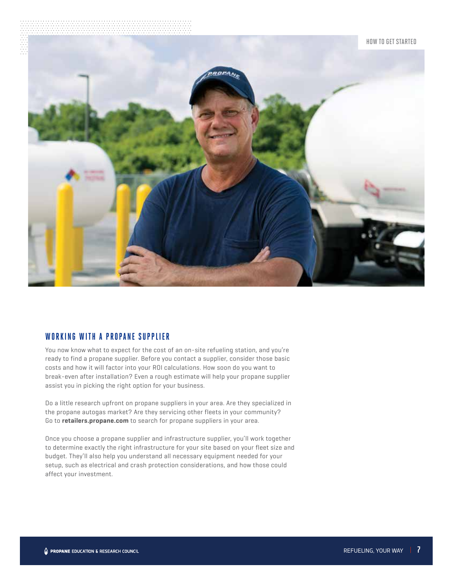

#### **WORKING WITH A PROPANE SUPPLIER**

You now know what to expect for the cost of an on-site refueling station, and you're ready to find a propane supplier. Before you contact a supplier, consider those basic costs and how it will factor into your ROI calculations. How soon do you want to break-even after installation? Even a rough estimate will help your propane supplier assist you in picking the right option for your business.

Do a little research upfront on propane suppliers in your area. Are they specialized in the propane autogas market? Are they servicing other fleets in your community? Go to **retailers.propane.com** to search for propane suppliers in your area.

Once you choose a propane supplier and infrastructure supplier, you'll work together to determine exactly the right infrastructure for your site based on your fleet size and budget. They'll also help you understand all necessary equipment needed for your setup, such as electrical and crash protection considerations, and how those could affect your investment.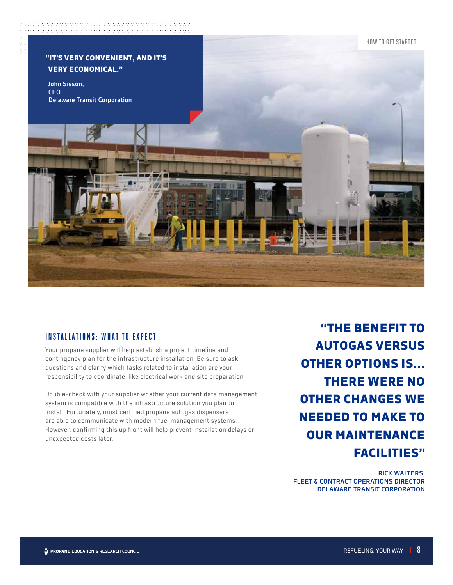

#### **INSTALLATIONS: WHAT TO EXPECT**

Your propane supplier will help establish a project timeline and contingency plan for the infrastructure installation. Be sure to ask questions and clarify which tasks related to installation are your responsibility to coordinate, like electrical work and site preparation.

Double-check with your supplier whether your current data management system is compatible with the infrastructure solution you plan to install. Fortunately, most certified propane autogas dispensers are able to communicate with modern fuel management systems. However, confirming this up front will help prevent installation delays or unexpected costs later.

"THE BENEFIT TO AUTOGAS VERSUS OTHER OPTIONS IS... THERE WERE NO OTHER CHANGES WE NEEDED TO MAKE TO OUR MAINTENANCE FACILITIES"

**RICK WALTERS, FLEET & CONTRACT OPERATIONS DIRECTOR DELAWARE TRANSIT CORPORATION**